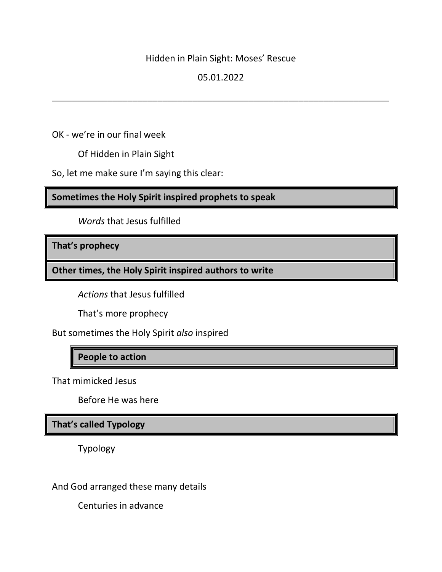### Hidden in Plain Sight: Moses' Rescue

## 05.01.2022

\_\_\_\_\_\_\_\_\_\_\_\_\_\_\_\_\_\_\_\_\_\_\_\_\_\_\_\_\_\_\_\_\_\_\_\_\_\_\_\_\_\_\_\_\_\_\_\_\_\_\_\_\_\_\_\_\_\_\_\_\_\_\_\_\_\_\_

OK - we're in our final week

Of Hidden in Plain Sight

So, let me make sure I'm saying this clear:

**Sometimes the Holy Spirit inspired prophets to speak**

*Words* that Jesus fulfilled

**That's prophecy**

**Other times, the Holy Spirit inspired authors to write**

*Actions* that Jesus fulfilled

That's more prophecy

But sometimes the Holy Spirit *also* inspired

# **People to action**

That mimicked Jesus

Before He was here

**That's called Typology**

Typology

And God arranged these many details

Centuries in advance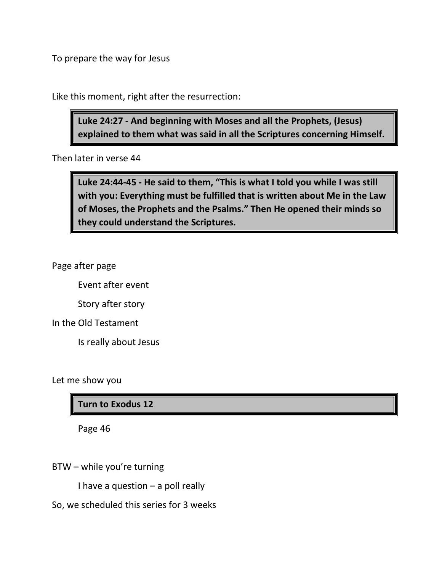To prepare the way for Jesus

Like this moment, right after the resurrection:

**Luke 24:27 - And beginning with Moses and all the Prophets, (Jesus) explained to them what was said in all the Scriptures concerning Himself.**

Then later in verse 44

**Luke 24:44-45 - He said to them, "This is what I told you while I was still with you: Everything must be fulfilled that is written about Me in the Law of Moses, the Prophets and the Psalms." Then He opened their minds so they could understand the Scriptures.**

Page after page

Event after event

Story after story

In the Old Testament

Is really about Jesus

Let me show you

## **Turn to Exodus 12**

Page 46

BTW – while you're turning

I have a question – a poll really

So, we scheduled this series for 3 weeks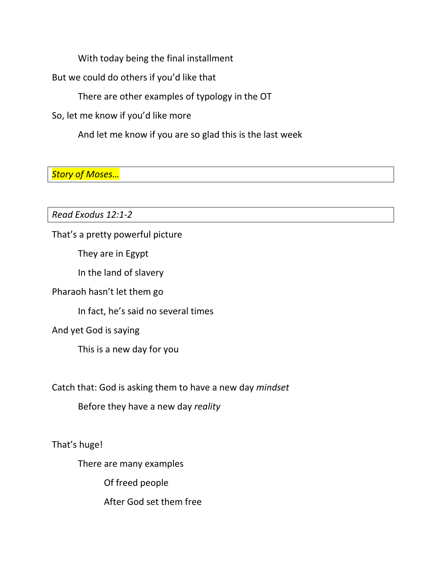With today being the final installment

But we could do others if you'd like that

There are other examples of typology in the OT

So, let me know if you'd like more

And let me know if you are so glad this is the last week

*Story of Moses…*

*Read Exodus 12:1-2*

That's a pretty powerful picture

They are in Egypt

In the land of slavery

Pharaoh hasn't let them go

In fact, he's said no several times

And yet God is saying

This is a new day for you

Catch that: God is asking them to have a new day *mindset*

Before they have a new day *reality*

That's huge!

There are many examples

Of freed people

After God set them free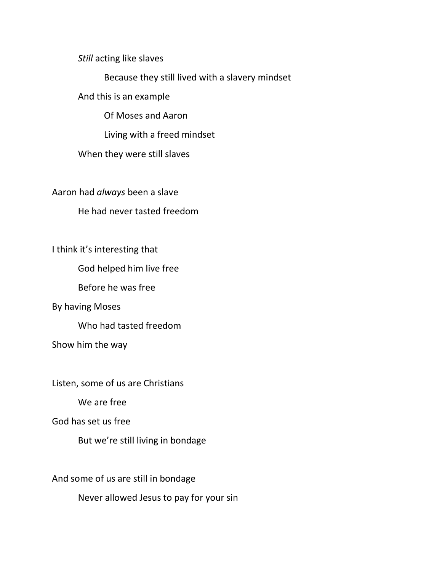*Still* acting like slaves

Because they still lived with a slavery mindset

And this is an example

Of Moses and Aaron

Living with a freed mindset

When they were still slaves

Aaron had *always* been a slave

He had never tasted freedom

I think it's interesting that

God helped him live free

Before he was free

By having Moses

Who had tasted freedom

Show him the way

Listen, some of us are Christians

We are free

God has set us free

But we're still living in bondage

And some of us are still in bondage

Never allowed Jesus to pay for your sin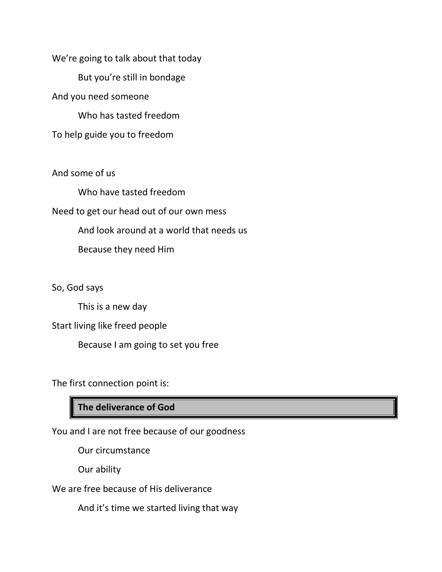We're going to talk about that today But you're still in bondage And you need someone Who has tasted freedom To help guide you to freedom

And some of us

Who have tasted freedom Need to get our head out of our own mess And look around at a world that needs us Because they need Him

So, God says

This is a new day

Start living like freed people

Because I am going to set you free

The first connection point is:

## **The deliverance of God**

You and I are not free because of our goodness

Our circumstance

Our ability

We are free because of His deliverance

And it's time we started living that way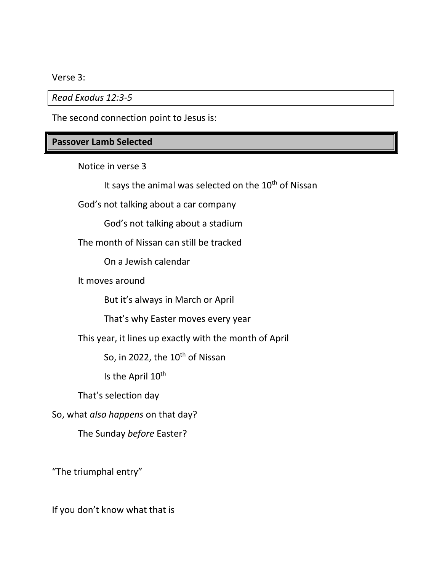Verse 3:

*Read Exodus 12:3-5*

The second connection point to Jesus is:

# **Passover Lamb Selected**

Notice in verse 3

It says the animal was selected on the 10<sup>th</sup> of Nissan

God's not talking about a car company

God's not talking about a stadium

The month of Nissan can still be tracked

On a Jewish calendar

It moves around

But it's always in March or April

That's why Easter moves every year

This year, it lines up exactly with the month of April

So, in 2022, the  $10^{th}$  of Nissan

Is the April 10<sup>th</sup>

That's selection day

So, what *also happens* on that day?

The Sunday *before* Easter?

"The triumphal entry"

If you don't know what that is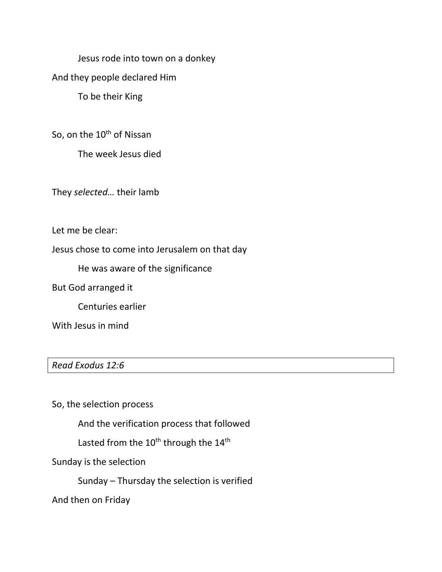Jesus rode into town on a donkey

And they people declared Him

To be their King

So, on the 10<sup>th</sup> of Nissan

The week Jesus died

They *selected…* their lamb

Let me be clear:

Jesus chose to come into Jerusalem on that day

He was aware of the significance

But God arranged it

Centuries earlier

With Jesus in mind

*Read Exodus 12:6*

So, the selection process

And the verification process that followed

Lasted from the  $10^{th}$  through the  $14^{th}$ 

Sunday is the selection

Sunday – Thursday the selection is verified

And then on Friday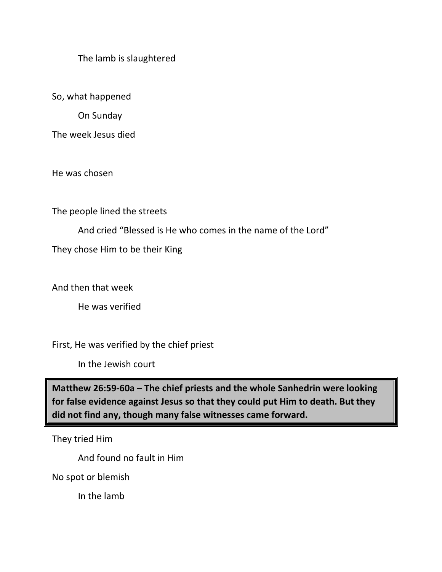The lamb is slaughtered

So, what happened

On Sunday

The week Jesus died

He was chosen

The people lined the streets

And cried "Blessed is He who comes in the name of the Lord"

They chose Him to be their King

And then that week

He was verified

First, He was verified by the chief priest

In the Jewish court

**Matthew 26:59-60a – The chief priests and the whole Sanhedrin were looking for false evidence against Jesus so that they could put Him to death. But they did not find any, though many false witnesses came forward.**

They tried Him

And found no fault in Him

No spot or blemish

In the lamb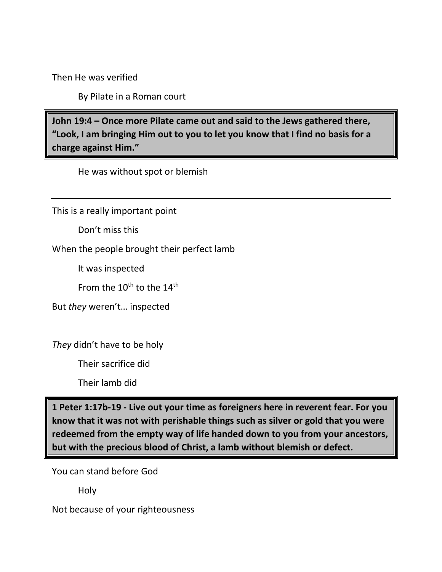Then He was verified

By Pilate in a Roman court

**John 19:4 – Once more Pilate came out and said to the Jews gathered there, "Look, I am bringing Him out to you to let you know that I find no basis for a charge against Him."** 

He was without spot or blemish

This is a really important point

Don't miss this

When the people brought their perfect lamb

It was inspected

From the  $10^{\text{th}}$  to the  $14^{\text{th}}$ 

But *they* weren't… inspected

*They* didn't have to be holy

Their sacrifice did

Their lamb did

**1 Peter 1:17b-19 - Live out your time as foreigners here in reverent fear. For you know that it was not with perishable things such as silver or gold that you were redeemed from the empty way of life handed down to you from your ancestors, but with the precious blood of Christ, a lamb without blemish or defect.**

You can stand before God

Holy

Not because of your righteousness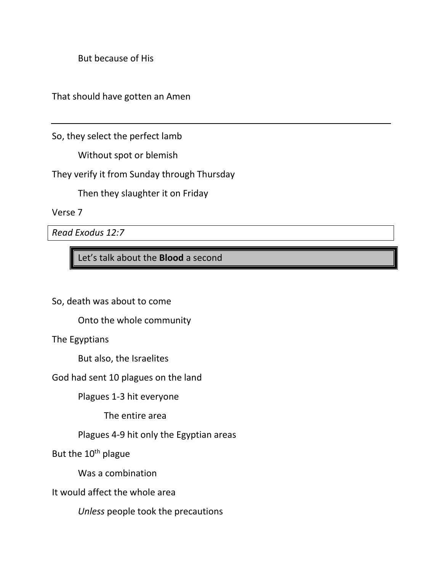But because of His

That should have gotten an Amen

So, they select the perfect lamb

Without spot or blemish

They verify it from Sunday through Thursday

Then they slaughter it on Friday

Verse 7

*Read Exodus 12:7*

Let's talk about the **Blood** a second

So, death was about to come

Onto the whole community

The Egyptians

But also, the Israelites

God had sent 10 plagues on the land

Plagues 1-3 hit everyone

The entire area

Plagues 4-9 hit only the Egyptian areas

But the 10<sup>th</sup> plague

Was a combination

It would affect the whole area

*Unless* people took the precautions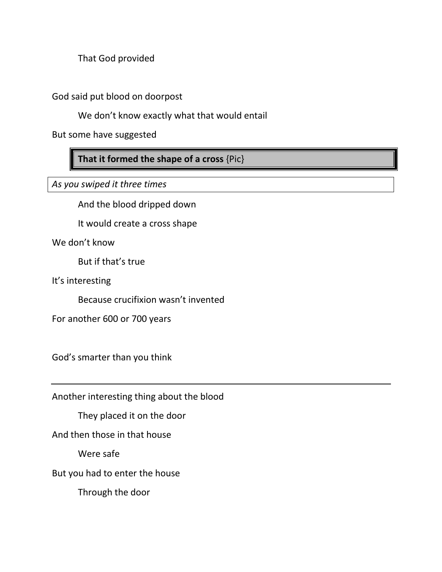That God provided

God said put blood on doorpost

We don't know exactly what that would entail

But some have suggested

**That it formed the shape of a cross** {Pic}

*As you swiped it three times*

And the blood dripped down

It would create a cross shape

We don't know

But if that's true

It's interesting

Because crucifixion wasn't invented

For another 600 or 700 years

God's smarter than you think

Another interesting thing about the blood

They placed it on the door

And then those in that house

Were safe

But you had to enter the house

Through the door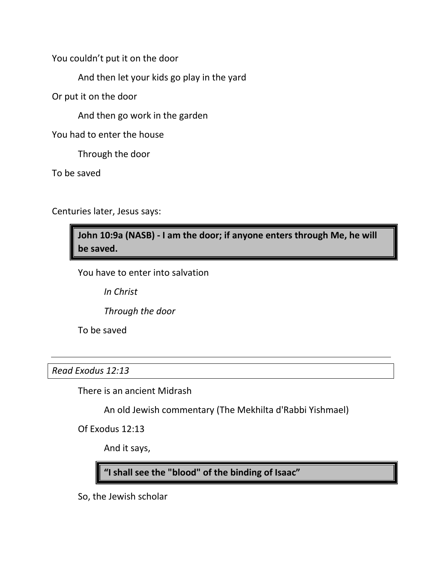You couldn't put it on the door

And then let your kids go play in the yard

Or put it on the door

And then go work in the garden

You had to enter the house

Through the door

To be saved

Centuries later, Jesus says:

**John 10:9a (NASB) - I am the door; if anyone enters through Me, he will be saved.**

You have to enter into salvation

*In Christ*

*Through the door*

To be saved

*Read Exodus 12:13*

There is an ancient Midrash

An old Jewish commentary (The Mekhilta d'Rabbi Yishmael)

Of Exodus 12:13

And it says,

**"I shall see the "blood" of the binding of Isaac"**

So, the Jewish scholar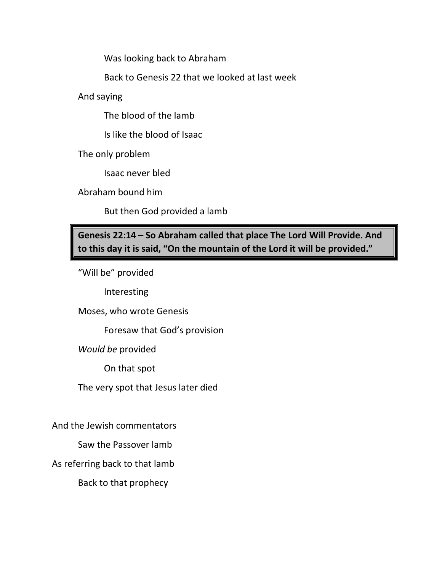Was looking back to Abraham

Back to Genesis 22 that we looked at last week

And saying

The blood of the lamb

Is like the blood of Isaac

The only problem

Isaac never bled

Abraham bound him

But then God provided a lamb

**Genesis 22:14 – So Abraham called that place The Lord Will Provide. And to this day it is said, "On the mountain of the Lord it will be provided."**

"Will be" provided

Interesting

Moses, who wrote Genesis

Foresaw that God's provision

*Would be* provided

On that spot

The very spot that Jesus later died

And the Jewish commentators

Saw the Passover lamb

As referring back to that lamb

Back to that prophecy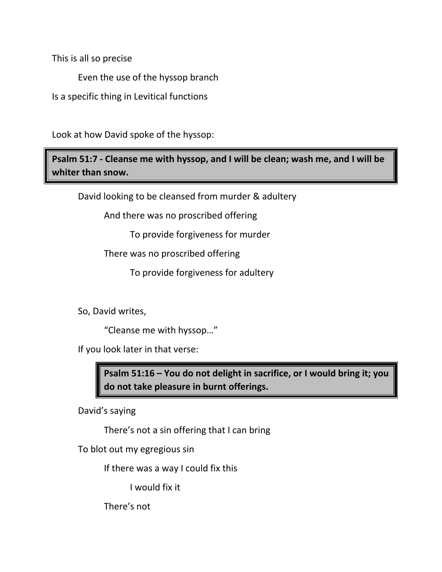This is all so precise

Even the use of the hyssop branch

Is a specific thing in Levitical functions

Look at how David spoke of the hyssop:

**Psalm 51:7 - Cleanse me with hyssop, and I will be clean; wash me, and I will be whiter than snow.**

David looking to be cleansed from murder & adultery

And there was no proscribed offering

To provide forgiveness for murder

There was no proscribed offering

To provide forgiveness for adultery

So, David writes,

"Cleanse me with hyssop…"

If you look later in that verse:

**Psalm 51:16 – You do not delight in sacrifice, or I would bring it; you do not take pleasure in burnt offerings.**

David's saying

There's not a sin offering that I can bring

To blot out my egregious sin

If there was a way I could fix this

I would fix it

There's not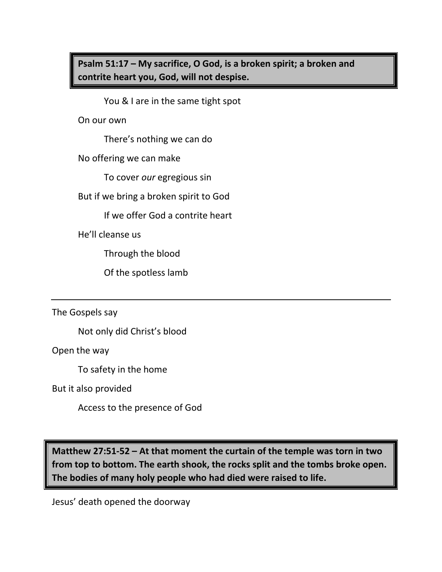**Psalm 51:17 – My sacrifice, O God, is a broken spirit; a broken and contrite heart you, God, will not despise.**

You & I are in the same tight spot

On our own

There's nothing we can do

No offering we can make

To cover *our* egregious sin

But if we bring a broken spirit to God

If we offer God a contrite heart

He'll cleanse us

Through the blood

Of the spotless lamb

The Gospels say

Not only did Christ's blood

Open the way

To safety in the home

But it also provided

Access to the presence of God

**Matthew 27:51-52 – At that moment the curtain of the temple was torn in two from top to bottom. The earth shook, the rocks split and the tombs broke open. The bodies of many holy people who had died were raised to life.**

Jesus' death opened the doorway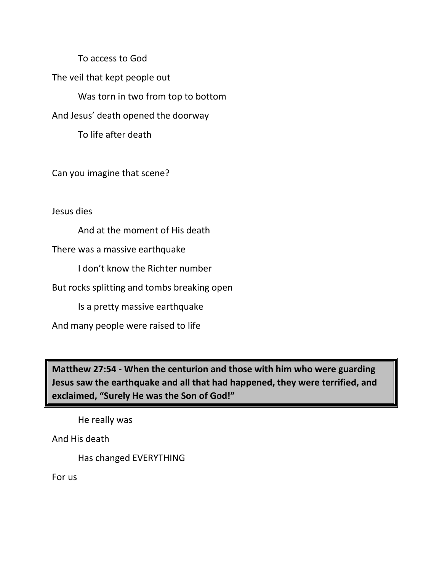To access to God

The veil that kept people out

Was torn in two from top to bottom

And Jesus' death opened the doorway

To life after death

Can you imagine that scene?

Jesus dies

And at the moment of His death

There was a massive earthquake

I don't know the Richter number

But rocks splitting and tombs breaking open

Is a pretty massive earthquake

And many people were raised to life

**Matthew 27:54 - When the centurion and those with him who were guarding Jesus saw the earthquake and all that had happened, they were terrified, and exclaimed, "Surely He was the Son of God!"**

He really was

And His death

Has changed EVERYTHING

For us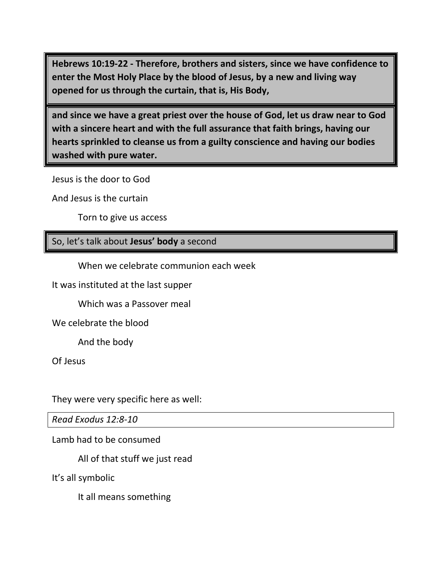**Hebrews 10:19-22 - Therefore, brothers and sisters, since we have confidence to enter the Most Holy Place by the blood of Jesus, by a new and living way opened for us through the curtain, that is, His Body,** 

**and since we have a great priest over the house of God, let us draw near to God with a sincere heart and with the full assurance that faith brings, having our hearts sprinkled to cleanse us from a guilty conscience and having our bodies washed with pure water.**

Jesus is the door to God

And Jesus is the curtain

Torn to give us access

### So, let's talk about **Jesus' body** a second

When we celebrate communion each week

It was instituted at the last supper

Which was a Passover meal

We celebrate the blood

And the body

Of Jesus

They were very specific here as well:

*Read Exodus 12:8-10*

Lamb had to be consumed

All of that stuff we just read

It's all symbolic

It all means something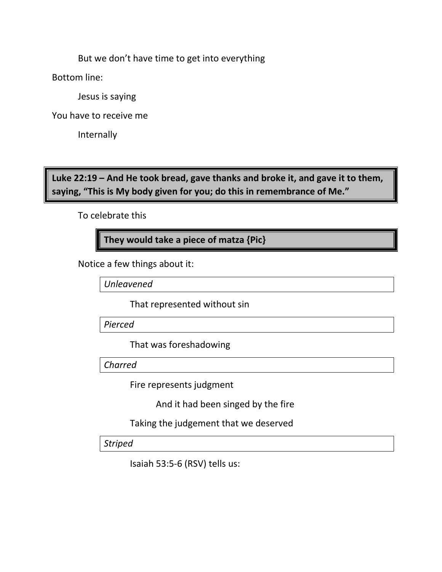But we don't have time to get into everything

Bottom line:

Jesus is saying

You have to receive me

Internally

**Luke 22:19 – And He took bread, gave thanks and broke it, and gave it to them, saying, "This is My body given for you; do this in remembrance of Me."**

To celebrate this

**They would take a piece of matza {Pic}**

Notice a few things about it:

*Unleavened*

That represented without sin

*Pierced*

That was foreshadowing

*Charred*

Fire represents judgment

And it had been singed by the fire

Taking the judgement that we deserved

*Striped*

Isaiah 53:5-6 (RSV) tells us: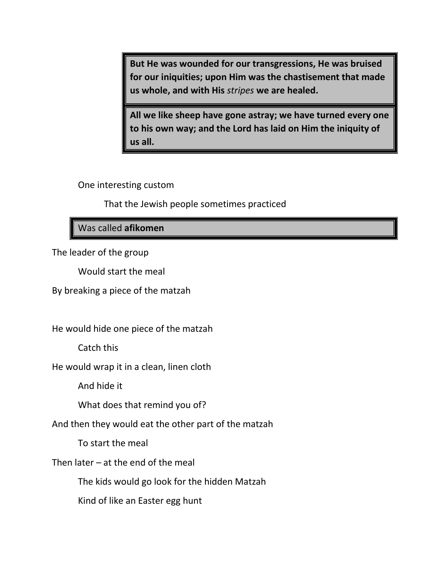**But He was wounded for our transgressions, He was bruised for our iniquities; upon Him was the chastisement that made us whole, and with His** *stripes* **we are healed.** 

**All we like sheep have gone astray; we have turned every one to his own way; and the Lord has laid on Him the iniquity of us all.** 

One interesting custom

That the Jewish people sometimes practiced

Was called **afikomen**

The leader of the group

Would start the meal

By breaking a piece of the matzah

He would hide one piece of the matzah

Catch this

He would wrap it in a clean, linen cloth

And hide it

What does that remind you of?

And then they would eat the other part of the matzah

To start the meal

Then later  $-$  at the end of the meal

The kids would go look for the hidden Matzah

Kind of like an Easter egg hunt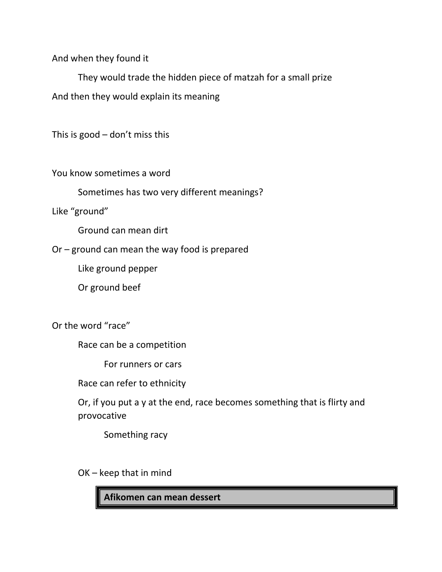And when they found it

They would trade the hidden piece of matzah for a small prize And then they would explain its meaning

This is  $good - don't$  miss this

You know sometimes a word

Sometimes has two very different meanings?

Like "ground"

Ground can mean dirt

Or – ground can mean the way food is prepared

Like ground pepper

Or ground beef

Or the word "race"

Race can be a competition

For runners or cars

Race can refer to ethnicity

Or, if you put a y at the end, race becomes something that is flirty and provocative

Something racy

OK – keep that in mind

**Afikomen can mean dessert**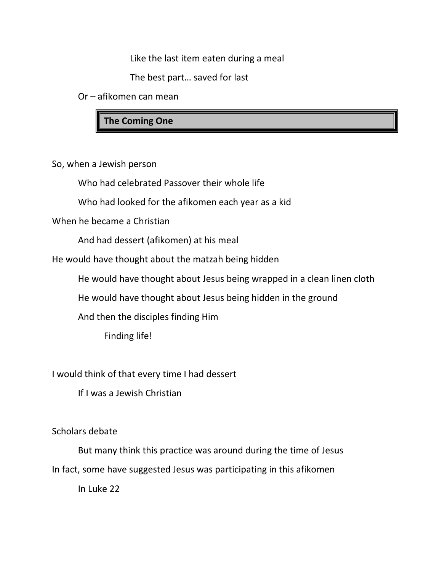Like the last item eaten during a meal

The best part… saved for last

Or – afikomen can mean

**The Coming One**

So, when a Jewish person

Who had celebrated Passover their whole life

Who had looked for the afikomen each year as a kid

When he became a Christian

And had dessert (afikomen) at his meal

He would have thought about the matzah being hidden

He would have thought about Jesus being wrapped in a clean linen cloth

He would have thought about Jesus being hidden in the ground

And then the disciples finding Him

Finding life!

I would think of that every time I had dessert

If I was a Jewish Christian

Scholars debate

But many think this practice was around during the time of Jesus In fact, some have suggested Jesus was participating in this afikomen

In Luke 22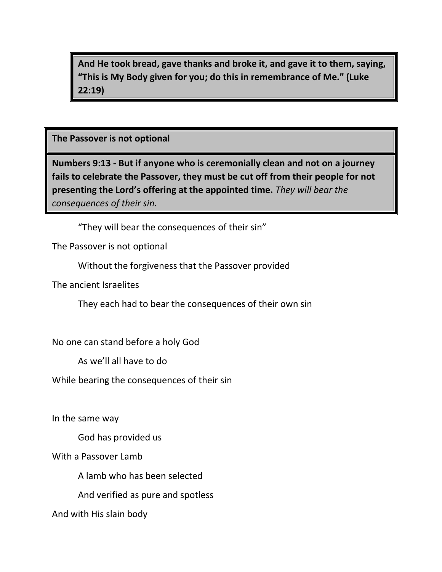**And He took bread, gave thanks and broke it, and gave it to them, saying, "This is My Body given for you; do this in remembrance of Me." (Luke 22:19)**

**The Passover is not optional**

**Numbers 9:13 - But if anyone who is ceremonially clean and not on a journey fails to celebrate the Passover, they must be cut off from their people for not presenting the Lord's offering at the appointed time.** *They will bear the consequences of their sin.*

"They will bear the consequences of their sin"

The Passover is not optional

Without the forgiveness that the Passover provided

The ancient Israelites

They each had to bear the consequences of their own sin

No one can stand before a holy God

As we'll all have to do

While bearing the consequences of their sin

In the same way

God has provided us

With a Passover Lamb

A lamb who has been selected

And verified as pure and spotless

And with His slain body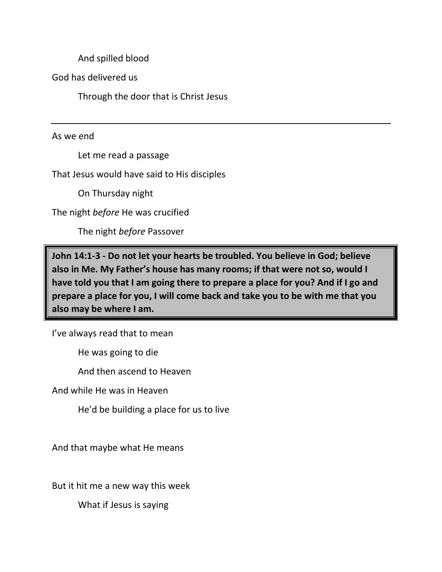And spilled blood

God has delivered us

Through the door that is Christ Jesus

As we end

Let me read a passage

That Jesus would have said to His disciples

On Thursday night

The night *before* He was crucified

The night *before* Passover

**John 14:1-3 - Do not let your hearts be troubled. You believe in God; believe also in Me. My Father's house has many rooms; if that were not so, would I have told you that I am going there to prepare a place for you? And if I go and prepare a place for you, I will come back and take you to be with me that you also may be where I am.**

I've always read that to mean

He was going to die

And then ascend to Heaven

And while He was in Heaven

He'd be building a place for us to live

And that maybe what He means

But it hit me a new way this week

What if Jesus is saying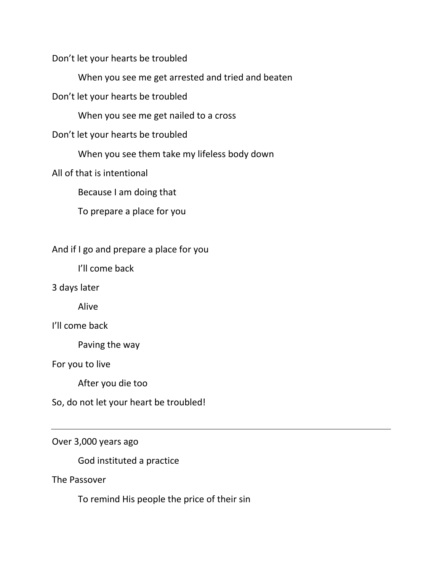Don't let your hearts be troubled

When you see me get arrested and tried and beaten

Don't let your hearts be troubled

When you see me get nailed to a cross

Don't let your hearts be troubled

When you see them take my lifeless body down

All of that is intentional

Because I am doing that

To prepare a place for you

And if I go and prepare a place for you

I'll come back

3 days later

Alive

I'll come back

Paving the way

For you to live

After you die too

So, do not let your heart be troubled!

Over 3,000 years ago

God instituted a practice

The Passover

To remind His people the price of their sin